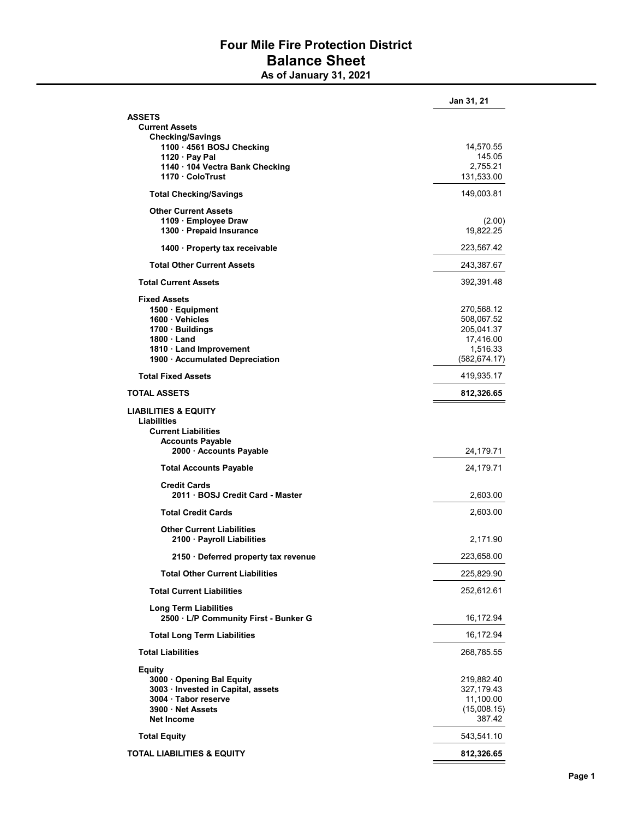## Four Mile Fire Protection District Balance Sheet

As of January 31, 2021

|                                                                       | Jan 31, 21                |
|-----------------------------------------------------------------------|---------------------------|
| <b>ASSETS</b>                                                         |                           |
| <b>Current Assets</b>                                                 |                           |
| <b>Checking/Savings</b>                                               |                           |
| 1100 · 4561 BOSJ Checking                                             | 14,570.55                 |
| 1120 · Pay Pal<br>1140 · 104 Vectra Bank Checking                     | 145.05<br>2,755.21        |
| 1170 · ColoTrust                                                      | 131,533.00                |
| <b>Total Checking/Savings</b>                                         | 149,003.81                |
| <b>Other Current Assets</b>                                           |                           |
| 1109 · Employee Draw                                                  | (2.00)                    |
| 1300 · Prepaid Insurance                                              | 19,822.25                 |
| 1400 · Property tax receivable                                        | 223,567.42                |
| <b>Total Other Current Assets</b>                                     | 243,387.67                |
| <b>Total Current Assets</b>                                           | 392,391.48                |
| <b>Fixed Assets</b>                                                   |                           |
| 1500 · Equipment                                                      | 270,568.12                |
| 1600 · Vehicles                                                       | 508,067.52                |
| 1700 · Buildings                                                      | 205,041.37                |
| 1800 · Land                                                           | 17,416.00                 |
| 1810 Land Improvement<br>1900 · Accumulated Depreciation              | 1,516.33<br>(582, 674.17) |
| <b>Total Fixed Assets</b>                                             | 419,935.17                |
| <b>TOTAL ASSETS</b>                                                   | 812,326.65                |
| <b>LIABILITIES &amp; EQUITY</b>                                       |                           |
| <b>Liabilities</b>                                                    |                           |
| <b>Current Liabilities</b>                                            |                           |
| <b>Accounts Payable</b>                                               |                           |
| 2000 · Accounts Payable                                               | 24,179.71                 |
| <b>Total Accounts Payable</b>                                         | 24,179.71                 |
| <b>Credit Cards</b>                                                   |                           |
| 2011 · BOSJ Credit Card - Master                                      | 2,603.00                  |
| <b>Total Credit Cards</b>                                             | 2,603.00                  |
| <b>Other Current Liabilities</b>                                      |                           |
| 2100 · Payroll Liabilities                                            | 2,171.90                  |
| 2150 · Deferred property tax revenue                                  | 223,658.00                |
| <b>Total Other Current Liabilities</b>                                | 225,829.90                |
| <b>Total Current Liabilities</b>                                      | 252,612.61                |
| <b>Long Term Liabilities</b><br>2500 · L/P Community First - Bunker G | 16,172.94                 |
| <b>Total Long Term Liabilities</b>                                    | 16,172.94                 |
| <b>Total Liabilities</b>                                              | 268,785.55                |
|                                                                       |                           |
| <b>Equity</b><br>3000 Opening Bal Equity                              | 219,882.40                |
| 3003 · Invested in Capital, assets                                    | 327,179.43                |
| 3004 · Tabor reserve                                                  | 11,100.00                 |
| 3900 · Net Assets                                                     | (15,008.15)               |
| <b>Net Income</b>                                                     | 387.42                    |
| <b>Total Equity</b>                                                   | 543,541.10                |
| <b>TOTAL LIABILITIES &amp; EQUITY</b>                                 | 812,326.65                |
|                                                                       |                           |